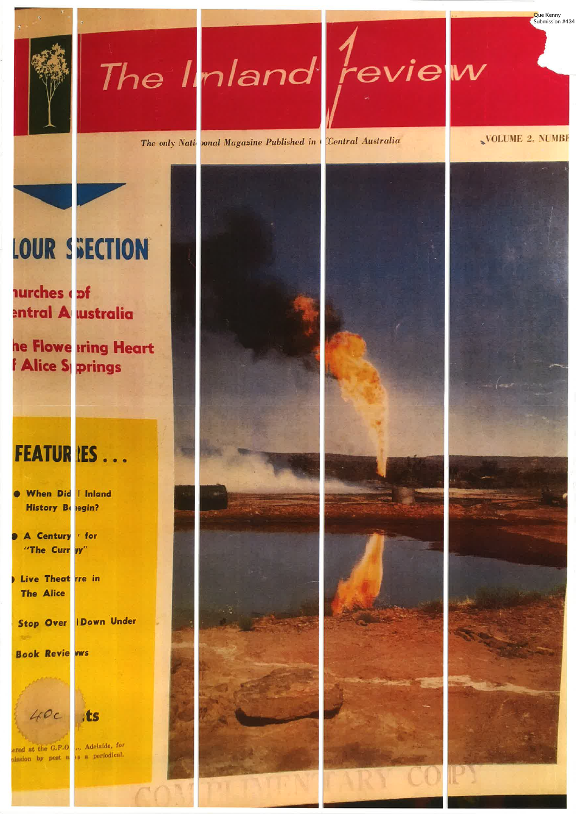



The only National Magazine Published in Central Australia

VOLUME 2. NUMBE

Que Kenny Submission #434

# **LOUR SECTION**

aurches (pf entral A wstralia

he Flowe **tring Heart Alice Springs** 

### **FEATUR IES...**

- When Did | Inland History Belegin?
- A Century for "The Curr yy"
- Live Theat rre in **The Alice**

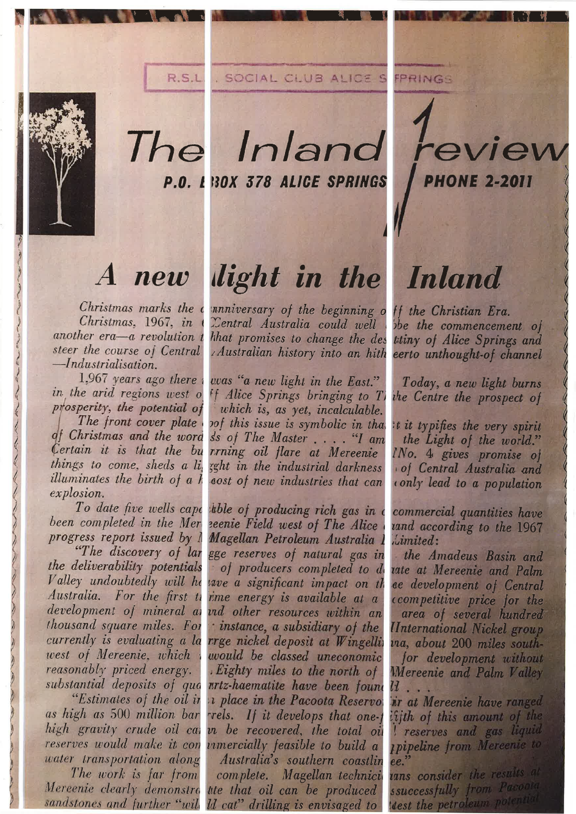

### The Inland review P.O. I 180X 378 ALICE SPRINGS

Christmas marks the c Christmas, 1967, in another era-a revolution t steer the course of Central  $-*Industrialisation*$ .

in the arid regions west o prosperity, the potential of The front cover plate of Christmas and the word Certain it is that the bu things to come, sheds a li, illuminates the birth of a h  $explosion.$ 

thousand square miles. For west of Mereenie, which reasonably priced energy. substantial deposits of qua "Estimates of the oil in as high as 500 million bar high gravity crude oil can reserves would make it con water transportation along The work is far from

## A new light in the Inland

innniversary of the beginning o ff the Christian Era. Central Australia could well hhat promises to change the des Australian history into an hith

1,967 years ago there a was "a new light in the East." <sup>ff</sup> Alice Springs bringing to TI which is, as yet, incalculable. pof this issue is symbolic in that s's of The Master.... "I am rrning oil flare at Mereenie zght in the industrial darkness aost of new industries that can

To date five wells cape able of producing rich gas in a been completed in the Mer zeenie Field west of The Alice progress report issued by I Magellan Petroleum Australia 1 "The discovery of lar gge reserves of natural gas in the deliverability potentials of producers completed to de Valley undoubtedly will he save a significant impact on the Australia. For the first ti ime energy is available at a development of mineral as und other resources within an instance, a subsidiary of the currently is evaluating a la rrge nickel deposit at Wingellin would be classed uneconomic Eighty miles to the north of nrtz-haematite have been found *i* place in the Pacoota Reservo: rrels. If it develops that one-t in be recovered, the total oil unnercially feasible to build a Australia's southern coastlin Magellan technici complete. Mereenie clearly demonstra tite that oil can be produced sandstones and further "will ld cat" drilling is envisaged to

be the commencement of titiny of Alice Springs and eerto unthought-of channel

**PHONE 2-2011** 

Today, a new light burns the Centre the prospect of

t it typifies the very spirit the Light of the world." INo. 4 gives promise of of Central Australia and conly lead to a population

commercial quantities have vand according to the 1967 *ilimited*:

the Amadeus Basin and tate at Mereenie and Palm ee development of Central ccompetitive price for the area of several hundred *<u>IInternational Nickel group</u>* ma, about 200 miles southfor development without Mereenie and Palm Valley  $u$ ir at Mereenie have ranged if the of this amount of the reserves and gas liquid *<u>Ipipeline</u>* from Mereenie to ee.' tans consider the results at ssuccessfully from Pacoola dest the petroleum potential.